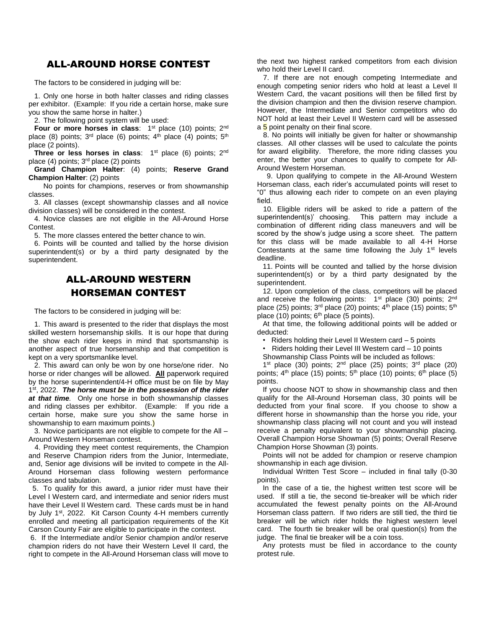## ALL-AROUND HORSE CONTEST

The factors to be considered in judging will be:

1. Only one horse in both halter classes and riding classes per exhibitor. (Example: If you ride a certain horse, make sure you show the same horse in halter.)

2. The following point system will be used:

**Four or more horses in class:** 1<sup>st</sup> place (10) points; 2<sup>nd</sup> place (8) points;  $3<sup>rd</sup>$  place (6) points;  $4<sup>th</sup>$  place (4) points;  $5<sup>th</sup>$ place (2 points).

**Three or less horses in class:** 1<sup>st</sup> place (6) points; 2<sup>nd</sup> place (4) points; 3<sup>rd</sup> place (2) points

**Grand Champion Halter**: (4) points; **Reserve Grand Champion Halter**: (2) points

No points for champions, reserves or from showmanship classes.

3. All classes (except showmanship classes and all novice division classes) will be considered in the contest.

4. Novice classes are not eligible in the All-Around Horse Contest.

5. The more classes entered the better chance to win.

6. Points will be counted and tallied by the horse division superintendent(s) or by a third party designated by the superintendent.

## ALL-AROUND WESTERN HORSEMAN CONTEST

The factors to be considered in judging will be:

1. This award is presented to the rider that displays the most skilled western horsemanship skills. It is our hope that during the show each rider keeps in mind that sportsmanship is another aspect of true horsemanship and that competition is kept on a very sportsmanlike level.

2. This award can only be won by one horse/one rider. No horse or rider changes will be allowed. **All** paperwork required by the horse superintendent/4-H office must be on file by May 1 st, 2022. *The horse must be in the possession of the rider at that time.* Only one horse in both showmanship classes and riding classes per exhibitor. (Example: If you ride a certain horse, make sure you show the same horse in showmanship to earn maximum points.)

3. Novice participants are not eligible to compete for the All – Around Western Horseman contest.

4. Providing they meet contest requirements, the Champion and Reserve Champion riders from the Junior, Intermediate, and, Senior age divisions will be invited to compete in the All-Around Horseman class following western performance classes and tabulation.

 5. To qualify for this award, a junior rider must have their Level I Western card, and intermediate and senior riders must have their Level II Western card. These cards must be in hand by July 1<sup>st</sup>, 2022. Kit Carson County 4-H members currently enrolled and meeting all participation requirements of the Kit Carson County Fair are eligible to participate in the contest.

6. If the Intermediate and/or Senior champion and/or reserve champion riders do not have their Western Level II card, the right to compete in the All-Around Horseman class will move to the next two highest ranked competitors from each division who hold their Level II card.

 7. If there are not enough competing Intermediate and enough competing senior riders who hold at least a Level II Western Card, the vacant positions will then be filled first by the division champion and then the division reserve champion. However, the Intermediate and Senior competitors who do NOT hold at least their Level II Western card will be assessed a 5 point penalty on their final score.

 8. No points will initially be given for halter or showmanship classes. All other classes will be used to calculate the points for award eligibility. Therefore, the more riding classes you enter, the better your chances to qualify to compete for All-Around Western Horseman.

 9. Upon qualifying to compete in the All-Around Western Horseman class, each rider's accumulated points will reset to "0" thus allowing each rider to compete on an even playing field.

 10. Eligible riders will be asked to ride a pattern of the superintendent(s)' choosing. This pattern may include a combination of different riding class maneuvers and will be scored by the show's judge using a score sheet. The pattern for this class will be made available to all 4-H Horse Contestants at the same time following the July  $1<sup>st</sup>$  levels deadline.

11. Points will be counted and tallied by the horse division superintendent(s) or by a third party designated by the superintendent.

12. Upon completion of the class, competitors will be placed and receive the following points:  $1<sup>st</sup>$  place (30) points;  $2<sup>nd</sup>$ place (25) points;  $3<sup>rd</sup>$  place (20) points;  $4<sup>th</sup>$  place (15) points;  $5<sup>th</sup>$ place  $(10)$  points;  $6<sup>th</sup>$  place  $(5$  points).

At that time, the following additional points will be added or deducted:

• Riders holding their Level II Western card – 5 points

• Riders holding their Level III Western card – 10 points

Showmanship Class Points will be included as follows:

1<sup>st</sup> place (30) points;  $2<sup>nd</sup>$  place (25) points;  $3<sup>rd</sup>$  place (20) points;  $4^{th}$  place (15) points;  $5^{th}$  place (10) points;  $6^{th}$  place (5) points.

If you choose NOT to show in showmanship class and then qualify for the All-Around Horseman class, 30 points will be deducted from your final score. If you choose to show a different horse in showmanship than the horse you ride, your showmanship class placing will not count and you will instead receive a penalty equivalent to your showmanship placing. Overall Champion Horse Showman (5) points; Overall Reserve Champion Horse Showman (3) points.

Points will not be added for champion or reserve champion showmanship in each age division.

Individual Written Test Score – included in final tally (0-30 points).

In the case of a tie, the highest written test score will be used. If still a tie, the second tie-breaker will be which rider accumulated the fewest penalty points on the All-Around Horseman class pattern. If two riders are still tied, the third tie breaker will be which rider holds the highest western level card. The fourth tie breaker will be oral question(s) from the judge. The final tie breaker will be a coin toss.

Any protests must be filed in accordance to the county protest rule.